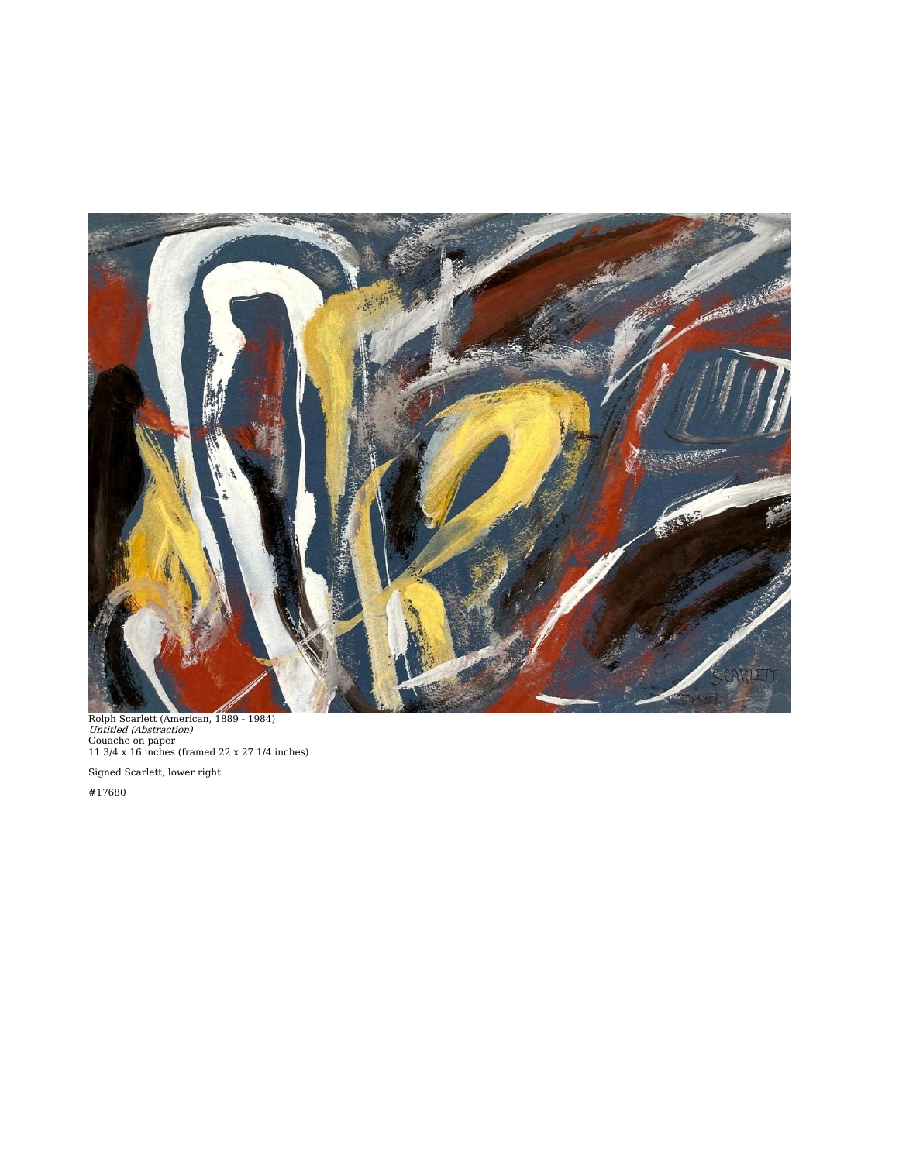

Rolph Scarlett (American, 1889 - 1984)<br>*Untitled (Abstraction)*<br>Gouache on paper<br>11 3/4 x 16 inches (framed 22 x 27 1/4 inches)

Signed Scarlett, lower right

#17680